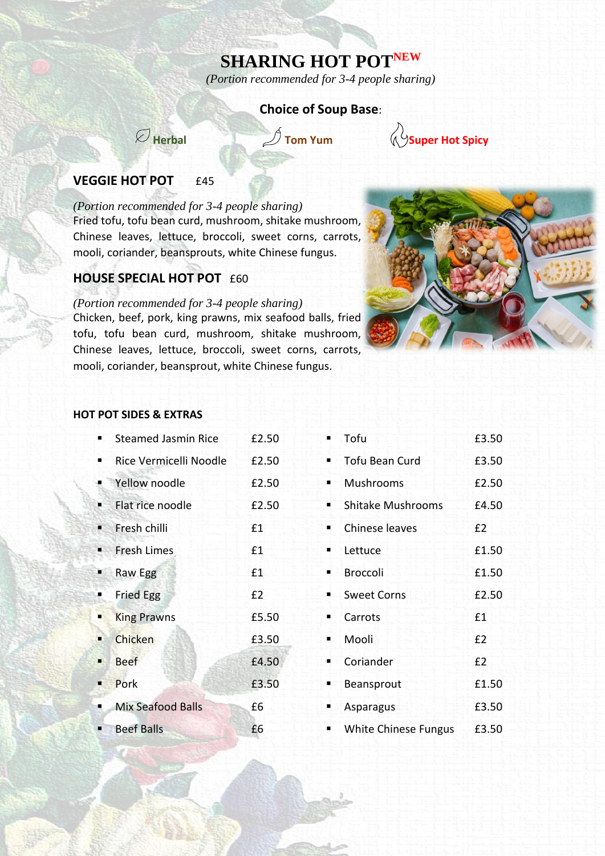# **SHARING HOT POTNEW**

*(Portion recommended for 3-4 people sharing)*

## **Choice of Soup Base**:



**Example 12 A Tom Yum**<br> **Super Hot Spicy** 

## **VEGGIE HOT POT** £45

*(Portion recommended for 3-4 people sharing)* Fried tofu, tofu bean curd, mushroom, shitake mushroom, Chinese leaves, lettuce, broccoli, sweet corns, carrots, mooli, coriander, beansprouts, white Chinese fungus.

## **HOUSE SPECIAL HOT POT** £60

*(Portion recommended for 3-4 people sharing)*

Chicken, beef, pork, king prawns, mix seafood balls, fried tofu, tofu bean curd, mushroom, shitake mushroom, Chinese leaves, lettuce, broccoli, sweet corns, carrots, mooli, coriander, beansprout, white Chinese fungus.



#### **HOT POT SIDES & EXTRAS**

| п.             | <b>Steamed Jasmin Rice</b> | £2.50 |                | Tofu                     | £3.50 |
|----------------|----------------------------|-------|----------------|--------------------------|-------|
| п.             | Rice Vermicelli Noodle     | £2.50 |                | " Tofu Bean Curd         | £3.50 |
| ×.             | Yellow noodle              | £2.50 | ٠              | Mushrooms                | £2.50 |
|                | Flat rice noodle           | £2.50 |                | <b>Shitake Mushrooms</b> | £4.50 |
| ▪              | Fresh chilli               | £1    | $\blacksquare$ | Chinese leaves           | E2    |
| $\blacksquare$ | <b>Fresh Limes</b>         | £1    | . .            | Lettuce                  | £1.50 |
| ٠              | Raw Egg                    | £1    | $\blacksquare$ | <b>Broccoli</b>          | £1.50 |
| л.             | <b>Fried Egg</b>           | E2    | . .            | <b>Sweet Corns</b>       | £2.50 |
| $\blacksquare$ | <b>King Prawns</b>         | £5.50 | п.             | Carrots                  | £1    |
|                | Chicken                    | £3.50 | п.             | Mooli                    | E2    |
| ٠              | <b>Beef</b>                | £4.50 | . .            | Coriander                | E2    |
| п              | Pork                       | £3.50 |                | Beansprout               | £1.50 |
| ۰.             | <b>Mix Seafood Balls</b>   | £6    |                | Asparagus                | £3.50 |
| п              | <b>Beef Balls</b>          | £6    |                | " White Chinese Fungus   | £3.50 |

| ٠              | Steamed Jasmin Rice      | £2.50 | ٠              | Tofu                     | £3.50 |
|----------------|--------------------------|-------|----------------|--------------------------|-------|
|                | Rice Vermicelli Noodle   | £2.50 |                | <b>Tofu Bean Curd</b>    | £3.50 |
|                | Yellow noodle            | £2.50 |                | Mushrooms                | £2.50 |
|                | Flat rice noodle         | £2.50 |                | <b>Shitake Mushrooms</b> | £4.50 |
| €              | Fresh chilli             | £1    | $\blacksquare$ | Chinese leaves           | E2    |
|                | <b>Fresh Limes</b>       | f1    | ٠              | Lettuce                  | £1.50 |
|                | Raw Egg                  | f1    |                | <b>Broccoli</b>          | £1.50 |
|                | <b>Fried Egg</b>         | E2    |                | <b>Sweet Corns</b>       | £2.50 |
| $\blacksquare$ | <b>King Prawns</b>       | £5.50 |                | Carrots                  | £1    |
| п.             | Chicken                  | £3.50 |                | Mooli                    | E2    |
| ٠              | <b>Beef</b>              | £4.50 | п.             | Coriander                | E2    |
|                | Pork                     | £3.50 | п              | Beansprout               | £1.50 |
|                | <b>Mix Seafood Balls</b> | £6    | ٠              | Asparagus                | £3.50 |
|                | <b>Beef Balls</b>        | £6    |                | • White Chinese Fungus   | £3.50 |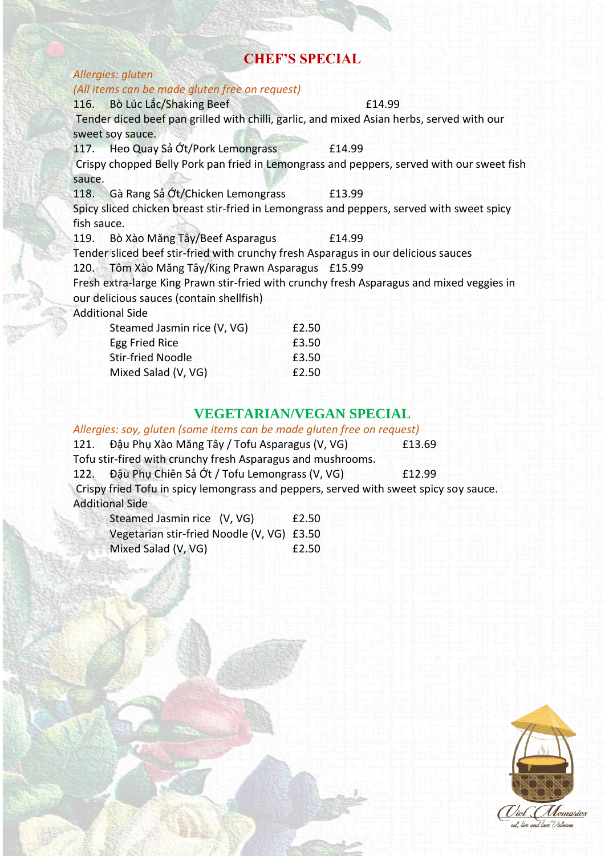## **CHEF'S SPECIAL**

## *Allergies: gluten*

# *(All items can be made gluten free on request)*

## 116. Bò Lúc Lắc/Shaking Beef **£14.99**

Tender diced beef pan grilled with chilli, garlic, and mixed Asian herbs, served with our sweet soy sauce.

117. Heo Quay Sả Ót/Pork Lemongrass £14.99

Crispy chopped Belly Pork pan fried in Lemongrass and peppers, served with our sweet fish sauce.

118. Gà Rang Sả Ót/Chicken Lemongrass £13.99

Spicy sliced chicken breast stir-fried in Lemongrass and peppers, served with sweet spicy fish sauce.

119. Bò Xào Măng Tây/Beef Asparagus £14.99

Tender sliced beef stir-fried with crunchy fresh Asparagus in our delicious sauces

120. Tôm Xào Măng Tây/King Prawn Asparagus £15.99

Fresh extra-large King Prawn stir-fried with crunchy fresh Asparagus and mixed veggies in our delicious sauces (contain shellfish)

Additional Side

| Steamed Jasmin rice (V, VG) | £2.50 |
|-----------------------------|-------|
| <b>Egg Fried Rice</b>       | £3.50 |
| <b>Stir-fried Noodle</b>    | £3.50 |
| Mixed Salad (V, VG)         | £2.50 |

## **VEGETARIAN/VEGAN SPECIAL**

## *Allergies: soy, gluten (some items can be made gluten free on request)*

121. Đậu Phụ Xào Măng Tây / Tofu Asparagus (V, VG) £13.69

Tofu stir-fired with crunchy fresh Asparagus and mushrooms.

122. Đậu Phụ Chiên Sả Ớt / Tofu Lemongrass (V, VG) £12.99

Crispy fried Tofu in spicy lemongrass and peppers, served with sweet spicy soy sauce. Additional Side

| Steamed Jasmin rice (V, VG)                | £2.50 |
|--------------------------------------------|-------|
| Vegetarian stir-fried Noodle (V, VG) £3.50 |       |
| Mixed Salad (V, VG)                        | £2.50 |

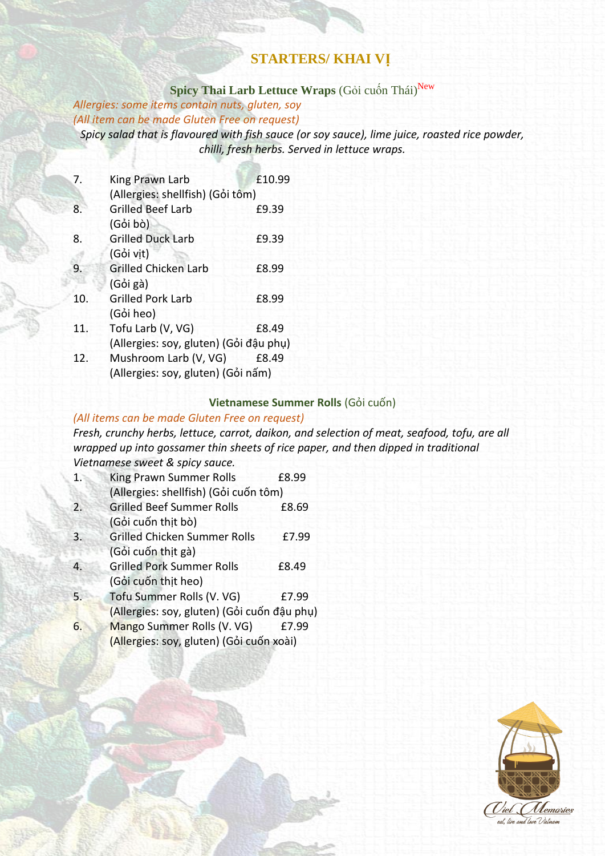# **STARTERS/ KHAI VỊ**

**Spicy Thai Larb Lettuce Wraps** (Gỏi cuốn Thái) New

*Allergies: some items contain nuts, gluten, soy*

*(All item can be made Gluten Free on request)*

*Spicy salad that is flavoured with fish sauce (or soy sauce), lime juice, roasted rice powder, chilli, fresh herbs. Served in lettuce wraps.*

| 7.  | King Prawn Larb                        | £10.99 |
|-----|----------------------------------------|--------|
|     | (Allergies: shellfish) (Gỏi tôm)       |        |
| 8.  | <b>Grilled Beef Larb</b>               | £9.39  |
|     | (Gỏi bò)                               |        |
| 8.  | <b>Grilled Duck Larb</b>               | £9.39  |
|     | (Gỏi vịt)                              |        |
| 9.  | <b>Grilled Chicken Larb</b>            | £8.99  |
|     | (Gỏi gà)                               |        |
| 10. | <b>Grilled Pork Larb</b>               | £8.99  |
|     | (Gỏi heo)                              |        |
| 11. | Tofu Larb (V, VG)                      | £8.49  |
|     | (Allergies: soy, gluten) (Gỏi đậu phụ) |        |
| 12. | Mushroom Larb (V, VG)                  | £8.49  |
|     |                                        |        |

(Allergies: soy, gluten) (Gỏi nấm)

#### **Vietnamese Summer Rolls** (Gỏi cuốn)

#### *(All items can be made Gluten Free on request)*

*Fresh, crunchy herbs, lettuce, carrot, daikon, and selection of meat, seafood, tofu, are all wrapped up into gossamer thin sheets of rice paper, and then dipped in traditional Vietnamese sweet & spicy sauce.*

| $\mathbf{1}$ . | King Prawn Summer Rolls                     | £8.99 |
|----------------|---------------------------------------------|-------|
|                | (Allergies: shellfish) (Gỏi cuốn tôm)       |       |
| 2.             | <b>Grilled Beef Summer Rolls</b>            | £8.69 |
|                | (Gỏi cuốn thịt bò)                          |       |
| 3.             | <b>Grilled Chicken Summer Rolls</b>         | £7.99 |
|                | (Gỏi cuốn thịt gà)                          |       |
| $\overline{4}$ | <b>Grilled Pork Summer Rolls</b>            | £8.49 |
|                | (Gỏi cuốn thịt heo)                         |       |
| 5.             | Tofu Summer Rolls (V. VG)                   | £7.99 |
|                | (Allergies: soy, gluten) (Gỏi cuốn đậu phụ) |       |
| 6.             | Mango Summer Rolls (V. VG)                  | £7.99 |
|                |                                             |       |

(Allergies: soy, gluten) (Gỏi cuốn xoài)

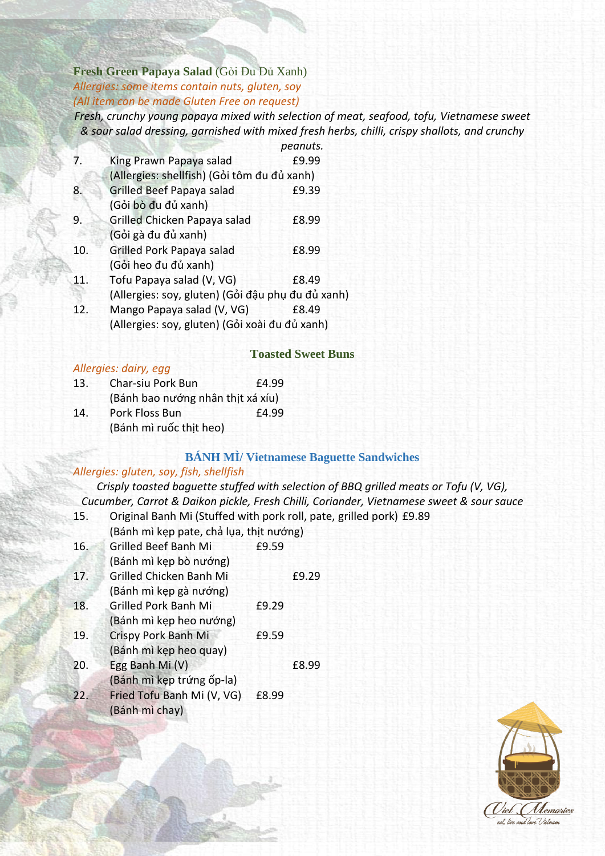**Fresh Green Papaya Salad** (Gỏi Đu Đủ Xanh) *Allergies: some items contain nuts, gluten, soy (All item can be made Gluten Free on request)*

*Fresh, crunchy young papaya mixed with selection of meat, seafood, tofu, Vietnamese sweet & sour salad dressing, garnished with mixed fresh herbs, chilli, crispy shallots, and crunchy* 

|     |                                                   | peanuts. |
|-----|---------------------------------------------------|----------|
| 7.  | King Prawn Papaya salad                           | £9.99    |
|     | (Allergies: shellfish) (Gỏi tôm đu đủ xanh)       |          |
| 8.  | <b>Grilled Beef Papaya salad</b>                  | £9.39    |
|     | (Gỏi bò đu đủ xanh)                               |          |
| 9.  | Grilled Chicken Papaya salad                      | £8.99    |
|     | (Gỏi gà đu đủ xanh)                               |          |
| 10. | Grilled Pork Papaya salad                         | £8.99    |
|     | (Gỏi heo đu đủ xanh)                              |          |
| 11. | Tofu Papaya salad (V, VG)                         | £8.49    |
|     | (Allergies: soy, gluten) (Gỏi đậu phụ đu đủ xanh) |          |
| 12. | Mango Papaya salad (V, VG)                        | £8.49    |
|     | (Allergies: soy, gluten) (Gỏi xoài đu đủ xanh)    |          |

#### **Toasted Sweet Buns**

#### *Allergies: dairy, egg*

| 13. | Char-siu Pork Bun                 | £4.99 |
|-----|-----------------------------------|-------|
|     | (Bánh bao nướng nhân thịt xá xíu) |       |
| 14. | Pork Floss Bun                    | £4.99 |

(Bánh mì ruốc thịt heo)

## **BÁNH MÌ/ Vietnamese Baguette Sandwiches**

#### *Allergies: gluten, soy, fish, shellfish*

*Crisply toasted baguette stuffed with selection of BBQ grilled meats or Tofu (V, VG), Cucumber, Carrot & Daikon pickle, Fresh Chilli, Coriander, Vietnamese sweet & sour sauce* 15. Original Banh Mi (Stuffed with pork roll, pate, grilled pork) £9.89

| <b>Grilled Beef Banh Mi</b> | £9.59 |                                         |
|-----------------------------|-------|-----------------------------------------|
| (Bánh mì kẹp bò nướng)      |       |                                         |
| Grilled Chicken Banh Mi     |       | £9.29                                   |
| (Bánh mì kẹp gà nướng)      |       |                                         |
| <b>Grilled Pork Banh Mi</b> | £9.29 |                                         |
| (Bánh mì kẹp heo nướng)     |       |                                         |
| Crispy Pork Banh Mi         | £9.59 |                                         |
| (Bánh mì kẹp heo quay)      |       |                                         |
| Egg Banh Mi (V)             |       | £8.99                                   |
| (Bánh mì kẹp trứng ốp-la)   |       |                                         |
| Fried Tofu Banh Mi (V, VG)  | £8.99 |                                         |
| (Bánh mì chay)              |       |                                         |
|                             |       | (Bánh mì kẹp pate, chả lụa, thịt nướng) |

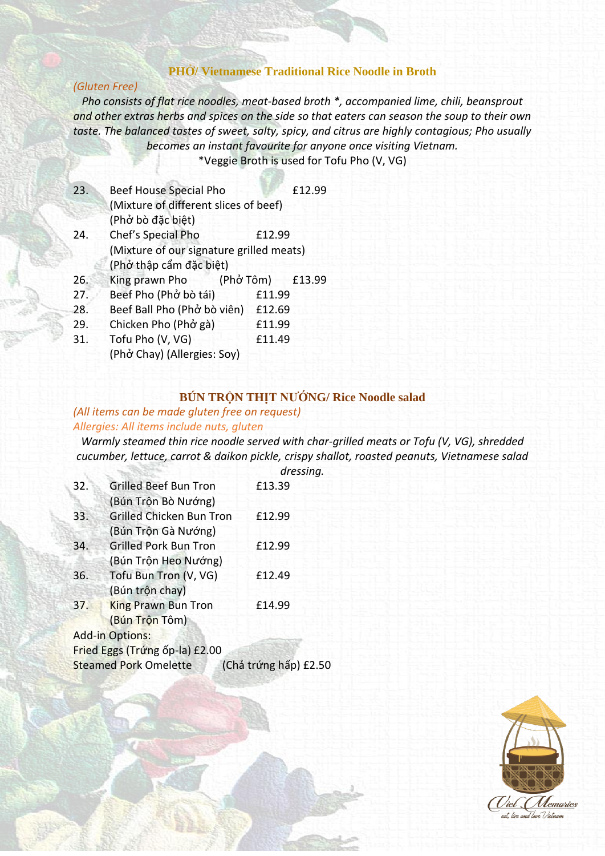#### **PHỞ/ Vietnamese Traditional Rice Noodle in Broth**

#### *(Gluten Free)*

*Pho consists of flat rice noodles, meat-based broth \*, accompanied lime, chili, beansprout and other extras herbs and spices on the side so that eaters can season the soup to their own taste. The balanced tastes of sweet, salty, spicy, and citrus are highly contagious; Pho usually becomes an instant favourite for anyone once visiting Vietnam.*

\*Veggie Broth is used for Tofu Pho (V, VG)

| 23. | <b>Beef House Special Pho</b>            |        | £12.99 |
|-----|------------------------------------------|--------|--------|
|     | (Mixture of different slices of beef)    |        |        |
|     | (Phở bò đặc biệt)                        |        |        |
| 24. | Chef's Special Pho                       | £12.99 |        |
|     | (Mixture of our signature grilled meats) |        |        |
|     | (Phở thập cẩm đặc biệt)                  |        |        |
| 26. | King prawn Pho (Phở Tôm)                 |        | £13.99 |
| 27. | Beef Pho (Phở bò tái)                    | £11.99 |        |
| 28. | Beef Ball Pho (Phở bò viên)              | £12.69 |        |
| 29. | Chicken Pho (Phở gà)                     | £11.99 |        |
| 31. | Tofu Pho (V, VG)                         | £11.49 |        |
|     | (Phở Chay) (Allergies: Soy)              |        |        |

## **BÚN TRỘN THỊT NƯỚNG/ Rice Noodle salad**

#### *(All items can be made gluten free on request) Allergies: All items include nuts, gluten*

*Warmly steamed thin rice noodle served with char-grilled meats or Tofu (V, VG), shredded cucumber, lettuce, carrot & daikon pickle, crispy shallot, roasted peanuts, Vietnamese salad* 

|     |                                 | dressing.             |
|-----|---------------------------------|-----------------------|
| 32. | <b>Grilled Beef Bun Tron</b>    | £13.39                |
|     | (Bún Trôn Bò Nướng)             |                       |
| 33. | <b>Grilled Chicken Bun Tron</b> | £12.99                |
|     | (Bún Trộn Gà Nướng)             |                       |
| 34. | <b>Grilled Pork Bun Tron</b>    | £12.99                |
|     | (Bún Trộn Heo Nướng)            |                       |
| 36. | Tofu Bun Tron (V, VG)           | £12.49                |
|     | (Bún trộn chay)                 |                       |
| 37. | <b>King Prawn Bun Tron</b>      | £14.99                |
|     | (Bún Trộn Tôm)                  |                       |
|     | <b>Add-in Options:</b>          |                       |
|     | Fried Eggs (Trứng ốp-la) £2.00  |                       |
|     | <b>Steamed Pork Omelette</b>    | (Chả trứng hấp) £2.50 |

# *<i><u>Viel Memories</u>* eat, live and lave Vietnam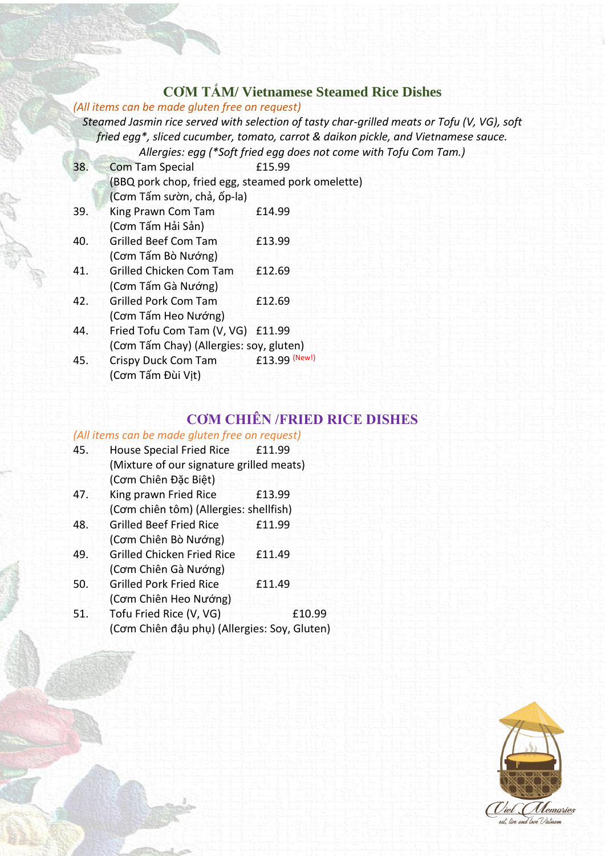## **CƠM TẤM/ Vietnamese Steamed Rice Dishes**

## *(All items can be made gluten free on request)*

*Steamed Jasmin rice served with selection of tasty char-grilled meats or Tofu (V, VG), soft fried egg\*, sliced cucumber, tomato, carrot & daikon pickle, and Vietnamese sauce. Allergies: egg (\*Soft fried egg does not come with Tofu Com Tam.)*

|                                                   | £15.99                                               |
|---------------------------------------------------|------------------------------------------------------|
| (BBQ pork chop, fried egg, steamed pork omelette) |                                                      |
|                                                   |                                                      |
| King Prawn Com Tam                                | £14.99                                               |
| (Cơm Tấm Hải Sản)                                 |                                                      |
| <b>Grilled Beef Com Tam</b>                       | £13.99                                               |
| (Cơm Tấm Bò Nướng)                                |                                                      |
| <b>Grilled Chicken Com Tam</b>                    | £12.69                                               |
| (Cơm Tấm Gà Nướng)                                |                                                      |
| <b>Grilled Pork Com Tam</b>                       | £12.69                                               |
| (Cơm Tấm Heo Nướng)                               |                                                      |
| Fried Tofu Com Tam (V, VG) £11.99                 |                                                      |
| (Cơm Tấm Chay) (Allergies: soy, gluten)           |                                                      |
| Crispy Duck Com Tam                               | £13.99 (New!)                                        |
| (Cơm Tấm Đùi Vịt)                                 |                                                      |
|                                                   | <b>Com Tam Special</b><br>(Cơm Tấm sườn, chả, ốp-la) |

## **CƠM CHIÊN /FRIED RICE DISHES**

## *(All items can be made gluten free on request)* 45. House Special Fried Rice £11.99 (Mixture of our signature grilled meats) (Cơm Chiên Đặc Biệt) 47. King prawn Fried Rice £13.99 (Cơm chiên tôm) (Allergies: shellfish) 48. Grilled Beef Fried Rice £11.99 (Cơm Chiên Bò Nướng) 49. Grilled Chicken Fried Rice £11.49 (Cơm Chiên Gà Nướng) 50. Grilled Pork Fried Rice £11.49 (Cơm Chiên Heo Nướng) 51. Tofu Fried Rice (V, VG) 610.99 (Cơm Chiên đậu phụ) (Allergies: Soy, Gluten)

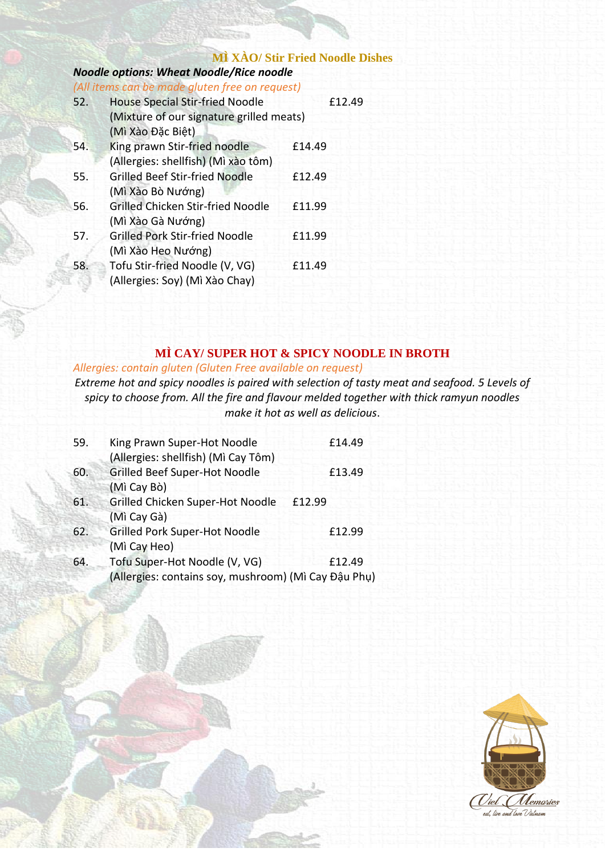## **MÌ XÀO/ Stir Fried Noodle Dishes**

#### *Noodle options: Wheat Noodle/Rice noodle (All items can be made gluten free on request)*

| 52. | <b>House Special Stir-fried Noodle</b>   |        |  |  |  |
|-----|------------------------------------------|--------|--|--|--|
|     | (Mixture of our signature grilled meats) |        |  |  |  |
|     | (Mì Xào Đặc Biệt)                        |        |  |  |  |
| 54. | King prawn Stir-fried noodle             | £14.49 |  |  |  |
|     | (Allergies: shellfish) (Mì xào tôm)      |        |  |  |  |
| 55. | <b>Grilled Beef Stir-fried Noodle</b>    | £12.49 |  |  |  |
|     | (Mì Xào Bò Nướng)                        |        |  |  |  |
| 56. | <b>Grilled Chicken Stir-fried Noodle</b> | £11.99 |  |  |  |
|     | (Mì Xào Gà Nướng)                        |        |  |  |  |
| 57. | <b>Grilled Pork Stir-fried Noodle</b>    | £11.99 |  |  |  |
|     | (Mì Xào Heo Nướng)                       |        |  |  |  |
| 58. | Tofu Stir-fried Noodle (V, VG)           | £11.49 |  |  |  |
|     | (Allergies: Soy) (Mì Xào Chay)           |        |  |  |  |

## **MÌ CAY/ SUPER HOT & SPICY NOODLE IN BROTH**

## *Allergies: contain gluten (Gluten Free available on request)*

*Extreme hot and spicy noodles is paired with selection of tasty meat and seafood. 5 Levels of spicy to choose from. All the fire and flavour melded together with thick ramyun noodles make it hot as well as delicious*.

| 59. | King Prawn Super-Hot Noodle                          | £14.49 |
|-----|------------------------------------------------------|--------|
|     | (Allergies: shellfish) (Mì Cay Tôm)                  |        |
| 60. | <b>Grilled Beef Super-Hot Noodle</b>                 | £13.49 |
|     | (Mì Cay Bò)                                          |        |
| 61. | Grilled Chicken Super-Hot Noodle                     | £12.99 |
|     | (Mì Cay Gà)                                          |        |
| 62. | <b>Grilled Pork Super-Hot Noodle</b>                 | £12.99 |
|     | (Mì Cay Heo)                                         |        |
| 64. | Tofu Super-Hot Noodle (V, VG)                        | £12.49 |
|     | (Allergies: contains soy, mushroom) (Mì Cay Đậu Phụ) |        |